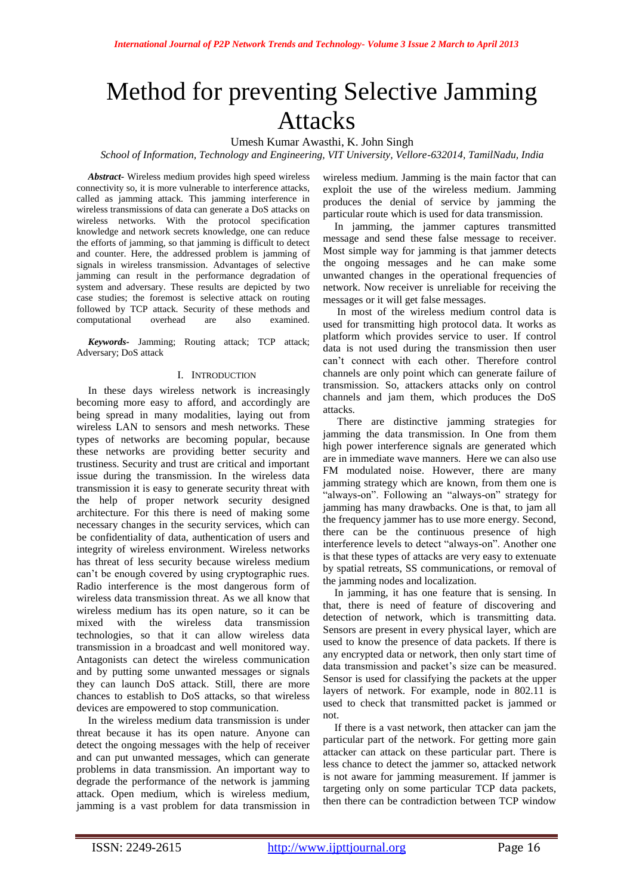# Method for preventing Selective Jamming Attacks

Umesh Kumar Awasthi, K. John Singh

*School of Information, Technology and Engineering, VIT University, Vellore-632014, TamilNadu, India*

*Abstract***-** Wireless medium provides high speed wireless connectivity so, it is more vulnerable to interference attacks, called as jamming attack. This jamming interference in wireless transmissions of data can generate a DoS attacks on wireless networks. With the protocol specification knowledge and network secrets knowledge, one can reduce the efforts of jamming, so that jamming is difficult to detect and counter. Here, the addressed problem is jamming of signals in wireless transmission. Advantages of selective jamming can result in the performance degradation of system and adversary. These results are depicted by two case studies; the foremost is selective attack on routing followed by TCP attack. Security of these methods and computational overhead are also examined.

*Keywords-* Jamming; Routing attack; TCP attack; Adversary; DoS attack

## I. INTRODUCTION

In these days wireless network is increasingly becoming more easy to afford, and accordingly are being spread in many modalities, laying out from wireless LAN to sensors and mesh networks. These types of networks are becoming popular, because these networks are providing better security and trustiness. Security and trust are critical and important issue during the transmission. In the wireless data transmission it is easy to generate security threat with the help of proper network security designed architecture. For this there is need of making some necessary changes in the security services, which can be confidentiality of data, authentication of users and integrity of wireless environment. Wireless networks has threat of less security because wireless medium can't be enough covered by using cryptographic rues. Radio interference is the most dangerous form of wireless data transmission threat. As we all know that wireless medium has its open nature, so it can be mixed with the wireless data transmission technologies, so that it can allow wireless data transmission in a broadcast and well monitored way. Antagonists can detect the wireless communication and by putting some unwanted messages or signals they can launch DoS attack. Still, there are more chances to establish to DoS attacks, so that wireless devices are empowered to stop communication.

In the wireless medium data transmission is under threat because it has its open nature. Anyone can detect the ongoing messages with the help of receiver and can put unwanted messages, which can generate problems in data transmission. An important way to degrade the performance of the network is jamming attack. Open medium, which is wireless medium, jamming is a vast problem for data transmission in wireless medium. Jamming is the main factor that can exploit the use of the wireless medium. Jamming produces the denial of service by jamming the particular route which is used for data transmission.

In jamming, the jammer captures transmitted message and send these false message to receiver. Most simple way for jamming is that jammer detects the ongoing messages and he can make some unwanted changes in the operational frequencies of network. Now receiver is unreliable for receiving the messages or it will get false messages.

In most of the wireless medium control data is used for transmitting high protocol data. It works as platform which provides service to user. If control data is not used during the transmission then user can't connect with each other. Therefore control channels are only point which can generate failure of transmission. So, attackers attacks only on control channels and jam them, which produces the DoS attacks.

There are distinctive jamming strategies for jamming the data transmission. In One from them high power interference signals are generated which are in immediate wave manners. Here we can also use FM modulated noise. However, there are many jamming strategy which are known, from them one is "always-on". Following an "always-on" strategy for jamming has many drawbacks. One is that, to jam all the frequency jammer has to use more energy. Second, there can be the continuous presence of high interference levels to detect "always-on". Another one is that these types of attacks are very easy to extenuate by spatial retreats, SS communications, or removal of the jamming nodes and localization.

In jamming, it has one feature that is sensing. In that, there is need of feature of discovering and detection of network, which is transmitting data. Sensors are present in every physical layer, which are used to know the presence of data packets. If there is any encrypted data or network, then only start time of data transmission and packet's size can be measured. Sensor is used for classifying the packets at the upper layers of network. For example, node in 802.11 is used to check that transmitted packet is jammed or not.

If there is a vast network, then attacker can jam the particular part of the network. For getting more gain attacker can attack on these particular part. There is less chance to detect the jammer so, attacked network is not aware for jamming measurement. If jammer is targeting only on some particular TCP data packets, then there can be contradiction between TCP window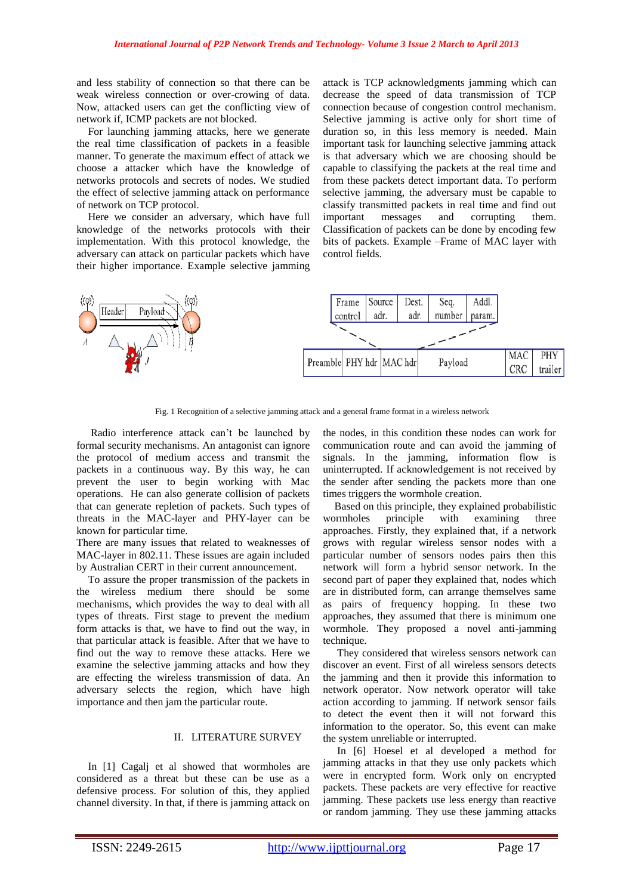and less stability of connection so that there can be weak wireless connection or over-crowing of data. Now, attacked users can get the conflicting view of network if, ICMP packets are not blocked.

For launching jamming attacks, here we generate the real time classification of packets in a feasible manner. To generate the maximum effect of attack we choose a attacker which have the knowledge of networks protocols and secrets of nodes. We studied the effect of selective jamming attack on performance of network on TCP protocol.

Here we consider an adversary, which have full knowledge of the networks protocols with their implementation. With this protocol knowledge, the adversary can attack on particular packets which have their higher importance. Example selective jamming attack is TCP acknowledgments jamming which can decrease the speed of data transmission of TCP connection because of congestion control mechanism. Selective jamming is active only for short time of duration so, in this less memory is needed. Main important task for launching selective jamming attack is that adversary which we are choosing should be capable to classifying the packets at the real time and from these packets detect important data. To perform selective jamming, the adversary must be capable to classify transmitted packets in real time and find out important messages and corrupting them. Classification of packets can be done by encoding few bits of packets. Example –Frame of MAC layer with control fields.



Fig. 1 Recognition of a selective jamming attack and a general frame format in a wireless network

Radio interference attack can't be launched by formal security mechanisms. An antagonist can ignore the protocol of medium access and transmit the packets in a continuous way. By this way, he can prevent the user to begin working with Mac operations. He can also generate collision of packets that can generate repletion of packets. Such types of threats in the MAC-layer and PHY-layer can be known for particular time.

There are many issues that related to weaknesses of MAC-layer in 802.11. These issues are again included by Australian CERT in their current announcement.

To assure the proper transmission of the packets in the wireless medium there should be some mechanisms, which provides the way to deal with all types of threats. First stage to prevent the medium form attacks is that, we have to find out the way, in that particular attack is feasible. After that we have to find out the way to remove these attacks. Here we examine the selective jamming attacks and how they are effecting the wireless transmission of data. An adversary selects the region, which have high importance and then jam the particular route.

# II. LITERATURE SURVEY

In [1] Cagalj et al showed that wormholes are considered as a threat but these can be use as a defensive process. For solution of this, they applied channel diversity. In that, if there is jamming attack on the nodes, in this condition these nodes can work for communication route and can avoid the jamming of signals. In the jamming, information flow is uninterrupted. If acknowledgement is not received by the sender after sending the packets more than one times triggers the wormhole creation.

Based on this principle, they explained probabilistic wormholes principle with examining three approaches. Firstly, they explained that, if a network grows with regular wireless sensor nodes with a particular number of sensors nodes pairs then this network will form a hybrid sensor network. In the second part of paper they explained that, nodes which are in distributed form, can arrange themselves same as pairs of frequency hopping. In these two approaches, they assumed that there is minimum one wormhole. They proposed a novel anti-jamming technique.

They considered that wireless sensors network can discover an event. First of all wireless sensors detects the jamming and then it provide this information to network operator. Now network operator will take action according to jamming. If network sensor fails to detect the event then it will not forward this information to the operator. So, this event can make the system unreliable or interrupted.

In [6] Hoesel et al developed a method for jamming attacks in that they use only packets which were in encrypted form. Work only on encrypted packets. These packets are very effective for reactive jamming. These packets use less energy than reactive or random jamming. They use these jamming attacks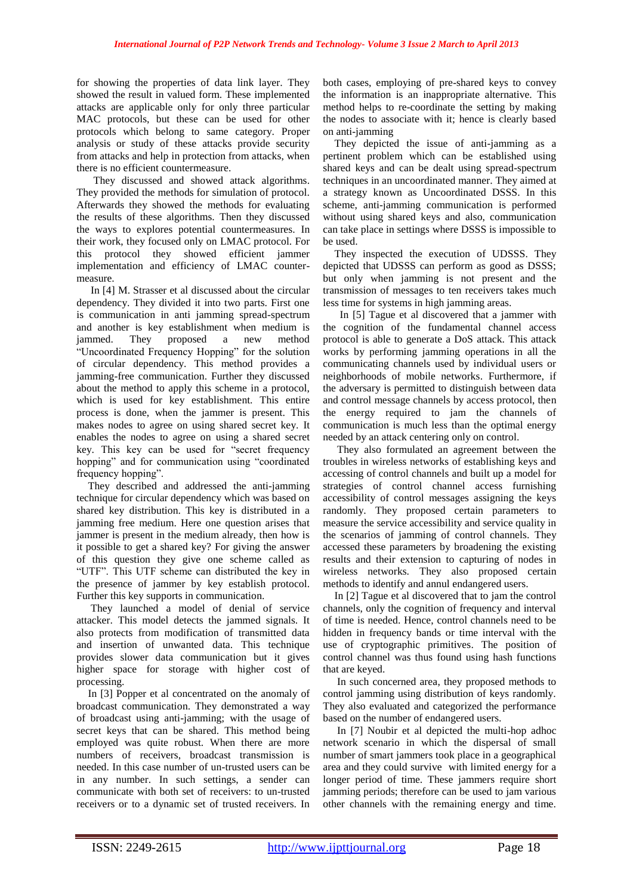for showing the properties of data link layer. They showed the result in valued form. These implemented attacks are applicable only for only three particular MAC protocols, but these can be used for other protocols which belong to same category. Proper analysis or study of these attacks provide security from attacks and help in protection from attacks, when there is no efficient countermeasure.

They discussed and showed attack algorithms. They provided the methods for simulation of protocol. Afterwards they showed the methods for evaluating the results of these algorithms. Then they discussed the ways to explores potential countermeasures. In their work, they focused only on LMAC protocol. For this protocol they showed efficient jammer implementation and efficiency of LMAC countermeasure.

In [4] M. Strasser et al discussed about the circular dependency. They divided it into two parts. First one is communication in anti jamming spread-spectrum and another is key establishment when medium is jammed. They proposed a new method "Uncoordinated Frequency Hopping" for the solution of circular dependency. This method provides a jamming-free communication. Further they discussed about the method to apply this scheme in a protocol, which is used for key establishment. This entire process is done, when the jammer is present. This makes nodes to agree on using shared secret key. It enables the nodes to agree on using a shared secret key. This key can be used for "secret frequency hopping" and for communication using "coordinated frequency hopping".

They described and addressed the anti-jamming technique for circular dependency which was based on shared key distribution. This key is distributed in a jamming free medium. Here one question arises that jammer is present in the medium already, then how is it possible to get a shared key? For giving the answer of this question they give one scheme called as "UTF". This UTF scheme can distributed the key in the presence of jammer by key establish protocol. Further this key supports in communication.

They launched a model of denial of service attacker. This model detects the jammed signals. It also protects from modification of transmitted data and insertion of unwanted data. This technique provides slower data communication but it gives higher space for storage with higher cost of processing.

In [3] Popper et al concentrated on the anomaly of broadcast communication. They demonstrated a way of broadcast using anti-jamming; with the usage of secret keys that can be shared. This method being employed was quite robust. When there are more numbers of receivers, broadcast transmission is needed. In this case number of un-trusted users can be in any number. In such settings, a sender can communicate with both set of receivers: to un-trusted receivers or to a dynamic set of trusted receivers. In both cases, employing of pre-shared keys to convey the information is an inappropriate alternative. This method helps to re-coordinate the setting by making the nodes to associate with it; hence is clearly based on anti-jamming

They depicted the issue of anti-jamming as a pertinent problem which can be established using shared keys and can be dealt using spread-spectrum techniques in an uncoordinated manner. They aimed at a strategy known as Uncoordinated DSSS. In this scheme, anti-jamming communication is performed without using shared keys and also, communication can take place in settings where DSSS is impossible to be used.

They inspected the execution of UDSSS. They depicted that UDSSS can perform as good as DSSS; but only when jamming is not present and the transmission of messages to ten receivers takes much less time for systems in high jamming areas.

 In [5] Tague et al discovered that a jammer with the cognition of the fundamental channel access protocol is able to generate a DoS attack. This attack works by performing jamming operations in all the communicating channels used by individual users or neighborhoods of mobile networks. Furthermore, if the adversary is permitted to distinguish between data and control message channels by access protocol, then the energy required to jam the channels of communication is much less than the optimal energy needed by an attack centering only on control.

They also formulated an agreement between the troubles in wireless networks of establishing keys and accessing of control channels and built up a model for strategies of control channel access furnishing accessibility of control messages assigning the keys randomly. They proposed certain parameters to measure the service accessibility and service quality in the scenarios of jamming of control channels. They accessed these parameters by broadening the existing results and their extension to capturing of nodes in wireless networks. They also proposed certain methods to identify and annul endangered users.

In [2] Tague et al discovered that to jam the control channels, only the cognition of frequency and interval of time is needed. Hence, control channels need to be hidden in frequency bands or time interval with the use of cryptographic primitives. The position of control channel was thus found using hash functions that are keyed.

In such concerned area, they proposed methods to control jamming using distribution of keys randomly. They also evaluated and categorized the performance based on the number of endangered users.

In [7] Noubir et al depicted the multi-hop adhoc network scenario in which the dispersal of small number of smart jammers took place in a geographical area and they could survive with limited energy for a longer period of time. These jammers require short jamming periods; therefore can be used to jam various other channels with the remaining energy and time.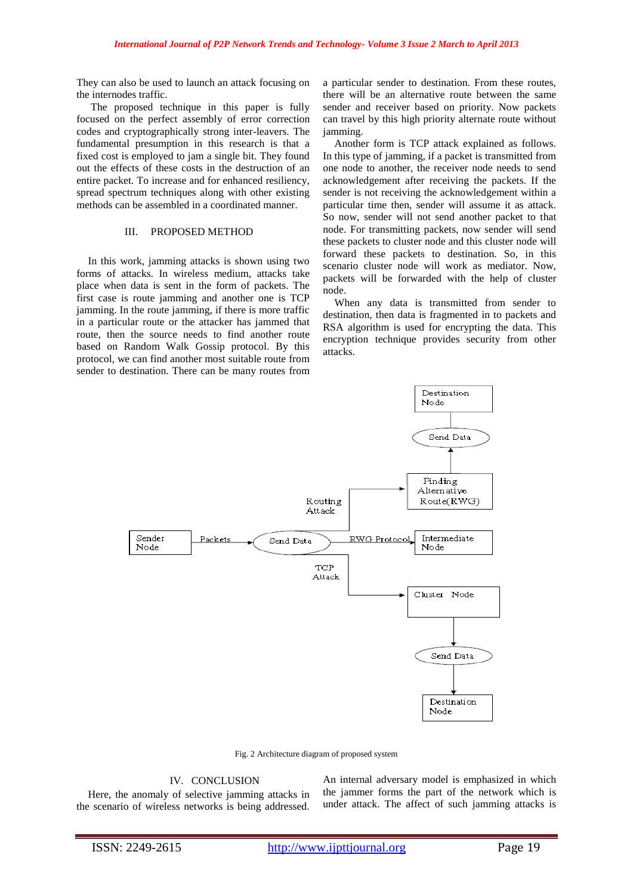They can also be used to launch an attack focusing on the internodes traffic.

The proposed technique in this paper is fully focused on the perfect assembly of error correction codes and cryptographically strong inter-leavers. The fundamental presumption in this research is that a fixed cost is employed to jam a single bit. They found out the effects of these costs in the destruction of an entire packet. To increase and for enhanced resiliency, spread spectrum techniques along with other existing methods can be assembled in a coordinated manner.

# III. PROPOSED METHOD

In this work, jamming attacks is shown using two forms of attacks. In wireless medium, attacks take place when data is sent in the form of packets. The first case is route jamming and another one is TCP jamming. In the route jamming, if there is more traffic in a particular route or the attacker has jammed that route, then the source needs to find another route based on Random Walk Gossip protocol. By this protocol, we can find another most suitable route from sender to destination. There can be many routes from

a particular sender to destination. From these routes, there will be an alternative route between the same sender and receiver based on priority. Now packets can travel by this high priority alternate route without jamming.

Another form is TCP attack explained as follows. In this type of jamming, if a packet is transmitted from one node to another, the receiver node needs to send acknowledgement after receiving the packets. If the sender is not receiving the acknowledgement within a particular time then, sender will assume it as attack. So now, sender will not send another packet to that node. For transmitting packets, now sender will send these packets to cluster node and this cluster node will forward these packets to destination. So, in this scenario cluster node will work as mediator. Now, packets will be forwarded with the help of cluster node.

When any data is transmitted from sender to destination, then data is fragmented in to packets and RSA algorithm is used for encrypting the data. This encryption technique provides security from other attacks.



Fig. 2 Architecture diagram of proposed system

#### IV. CONCLUSION

Here, the anomaly of selective jamming attacks in the scenario of wireless networks is being addressed.

An internal adversary model is emphasized in which the jammer forms the part of the network which is under attack. The affect of such jamming attacks is